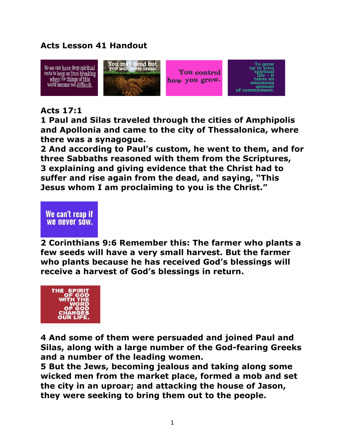## **Acts Lesson 41 Handout**



## **Acts 17:1**

**1 Paul and Silas traveled through the cities of Amphipolis and Apollonia and came to the city of Thessalonica, where there was a synagogue.** 

**2 And according to Paul's custom, he went to them, and for three Sabbaths reasoned with them from the Scriptures, 3 explaining and giving evidence that the Christ had to suffer and rise again from the dead, and saying, "This Jesus whom I am proclaiming to you is the Christ."** 

## We can't reap if **We never sow.**

**2 Corinthians 9:6 Remember this: The farmer who plants a few seeds will have a very small harvest. But the farmer who plants because he has received God's blessings will receive a harvest of God's blessings in return.**



**4 And some of them were persuaded and joined Paul and Silas, along with a large number of the God-fearing Greeks and a number of the leading women.** 

**5 But the Jews, becoming jealous and taking along some wicked men from the market place, formed a mob and set the city in an uproar; and attacking the house of Jason, they were seeking to bring them out to the people.**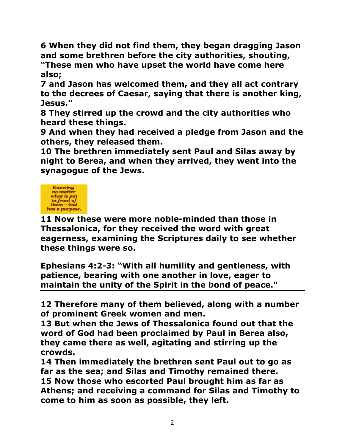**6 When they did not find them, they began dragging Jason and some brethren before the city authorities, shouting, "These men who have upset the world have come here** 

**also;** 

**7 and Jason has welcomed them, and they all act contrary to the decrees of Caesar, saying that there is another king, Jesus."** 

**8 They stirred up the crowd and the city authorities who heard these things.** 

**9 And when they had received a pledge from Jason and the others, they released them.** 

**10 The brethren immediately sent Paul and Silas away by night to Berea, and when they arrived, they went into the synagogue of the Jews.**



**11 Now these were more noble-minded than those in Thessalonica, for they received the word with great eagerness, examining the Scriptures daily to see whether these things were so.** 

**Ephesians 4:2-3: "With all humility and gentleness, with patience, bearing with one another in love, eager to maintain the unity of the Spirit in the bond of peace."**

**12 Therefore many of them believed, along with a number of prominent Greek women and men.** 

**13 But when the Jews of Thessalonica found out that the word of God had been proclaimed by Paul in Berea also, they came there as well, agitating and stirring up the crowds.** 

**14 Then immediately the brethren sent Paul out to go as far as the sea; and Silas and Timothy remained there. 15 Now those who escorted Paul brought him as far as Athens; and receiving a command for Silas and Timothy to come to him as soon as possible, they left.**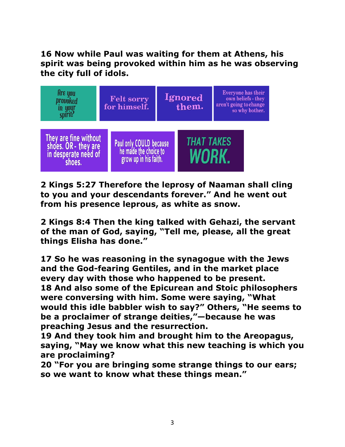## **16 Now while Paul was waiting for them at Athens, his spirit was being provoked within him as he was observing the city full of idols.**



**2 Kings 5:27 Therefore the leprosy of Naaman shall cling to you and your descendants forever." And he went out from his presence leprous, as white as snow.** 

**2 Kings 8:4 Then the king talked with Gehazi, the servant of the man of God, saying, "Tell me, please, all the great things Elisha has done."** 

**17 So he was reasoning in the synagogue with the Jews and the God-fearing Gentiles, and in the market place every day with those who happened to be present. 18 And also some of the Epicurean and Stoic philosophers were conversing with him. Some were saying, "What would this idle babbler wish to say?" Others, "He seems to be a proclaimer of strange deities,"—because he was preaching Jesus and the resurrection.** 

**19 And they took him and brought him to the Areopagus, saying, "May we know what this new teaching is which you are proclaiming?** 

**20 "For you are bringing some strange things to our ears; so we want to know what these things mean."**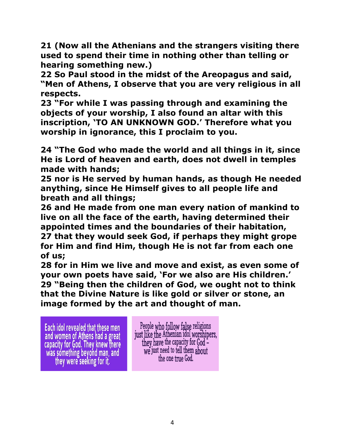**21 (Now all the Athenians and the strangers visiting there used to spend their time in nothing other than telling or hearing something new.)** 

**22 So Paul stood in the midst of the Areopagus and said, "Men of Athens, I observe that you are very religious in all respects.** 

**23 "For while I was passing through and examining the objects of your worship, I also found an altar with this inscription, 'TO AN UNKNOWN GOD.' Therefore what you worship in ignorance, this I proclaim to you.** 

**24 "The God who made the world and all things in it, since He is Lord of heaven and earth, does not dwell in temples made with hands;**

**25 nor is He served by human hands, as though He needed anything, since He Himself gives to all people life and breath and all things;** 

**26 and He made from one man every nation of mankind to live on all the face of the earth, having determined their appointed times and the boundaries of their habitation, 27 that they would seek God, if perhaps they might grope for Him and find Him, though He is not far from each one of us;** 

**28 for in Him we live and move and exist, as even some of your own poets have said, 'For we also are His children.' 29 "Being then the children of God, we ought not to think that the Divine Nature is like gold or silver or stone, an image formed by the art and thought of man.** 

Each idol revealed that these men and women of Athens had a great capacity for God. They knew there was something beyond man, and they were seeking for it.

I.

People who follow false religions just like the Athenian idol worshipers, they have the capacity for God we just need to tell them about the one true God.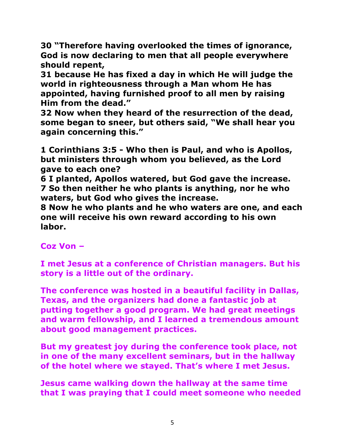**30 "Therefore having overlooked the times of ignorance, God is now declaring to men that all people everywhere should repent,** 

**31 because He has fixed a day in which He will judge the world in righteousness through a Man whom He has appointed, having furnished proof to all men by raising Him from the dead."** 

**32 Now when they heard of the resurrection of the dead, some began to sneer, but others said, "We shall hear you again concerning this."** 

**1 Corinthians 3:5 - Who then is Paul, and who is Apollos, but ministers through whom you believed, as the Lord gave to each one?** 

**6 I planted, Apollos watered, but God gave the increase. 7 So then neither he who plants is anything, nor he who waters, but God who gives the increase.** 

**8 Now he who plants and he who waters are one, and each one will receive his own reward according to his own labor.** 

**Coz Von –**

**I met Jesus at a conference of Christian managers. But his story is a little out of the ordinary.**

**The conference was hosted in a beautiful facility in Dallas, Texas, and the organizers had done a fantastic job at putting together a good program. We had great meetings and warm fellowship, and I learned a tremendous amount about good management practices.**

**But my greatest joy during the conference took place, not in one of the many excellent seminars, but in the hallway of the hotel where we stayed. That's where I met Jesus.**

**Jesus came walking down the hallway at the same time that I was praying that I could meet someone who needed**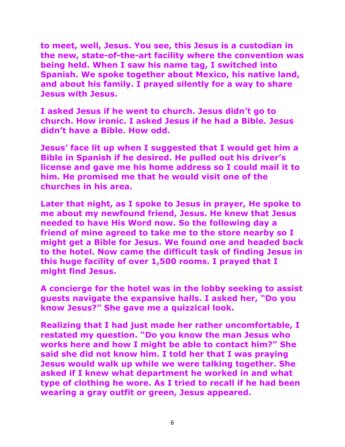**to meet, well, Jesus. You see, this Jesus is a custodian in the new, state-of-the-art facility where the convention was being held. When I saw his name tag, I switched into Spanish. We spoke together about Mexico, his native land, and about his family. I prayed silently for a way to share Jesus with Jesus.**

**I asked Jesus if he went to church. Jesus didn't go to church. How ironic. I asked Jesus if he had a Bible. Jesus didn't have a Bible. How odd.**

**Jesus' face lit up when I suggested that I would get him a Bible in Spanish if he desired. He pulled out his driver's license and gave me his home address so I could mail it to him. He promised me that he would visit one of the churches in his area.**

**Later that night, as I spoke to Jesus in prayer, He spoke to me about my newfound friend, Jesus. He knew that Jesus needed to have His Word now. So the following day a friend of mine agreed to take me to the store nearby so I might get a Bible for Jesus. We found one and headed back to the hotel. Now came the difficult task of finding Jesus in this huge facility of over 1,500 rooms. I prayed that I might find Jesus.**

**A concierge for the hotel was in the lobby seeking to assist guests navigate the expansive halls. I asked her, "Do you know Jesus?" She gave me a quizzical look.**

**Realizing that I had just made her rather uncomfortable, I restated my question. "Do you know the man Jesus who works here and how I might be able to contact him?" She said she did not know him. I told her that I was praying Jesus would walk up while we were talking together. She asked if I knew what department he worked in and what type of clothing he wore. As I tried to recall if he had been wearing a gray outfit or green, Jesus appeared.**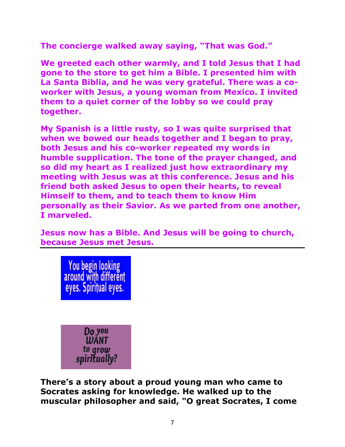**The concierge walked away saying, "That was God."**

**We greeted each other warmly, and I told Jesus that I had gone to the store to get him a Bible. I presented him with La Santa Biblia, and he was very grateful. There was a coworker with Jesus, a young woman from Mexico. I invited them to a quiet corner of the lobby so we could pray together.**

**My Spanish is a little rusty, so I was quite surprised that when we bowed our heads together and I began to pray, both Jesus and his co-worker repeated my words in humble supplication. The tone of the prayer changed, and so did my heart as I realized just how extraordinary my meeting with Jesus was at this conference. Jesus and his friend both asked Jesus to open their hearts, to reveal Himself to them, and to teach them to know Him personally as their Savior. As we parted from one another, I marveled.**

**Jesus now has a Bible. And Jesus will be going to church, because Jesus met Jesus.**



**There's a story about a proud young man who came to Socrates asking for knowledge. He walked up to the muscular philosopher and said, "O great Socrates, I come**